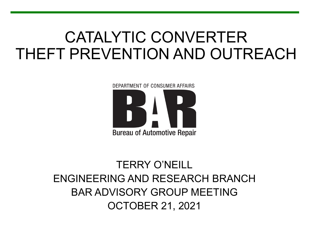# CATALYTIC CONVERTER THEFT PREVENTION AND OUTREACH

DEPARTMENT OF CONSUMER AFFAIRS **Bureau of Automotive Repair** 

# BAR ADVISORY GROUP MEETING TERRY O'NEILL ENGINEERING AND RESEARCH BRANCH OCTOBER 21, 2021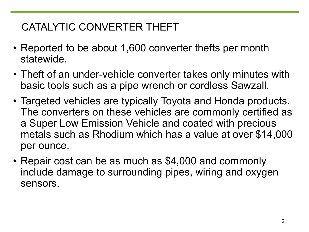### CATALYTIC CONVERTER THEFT

- Reported to be about 1,600 converter thefts per month statewide.
- Theft of an under-vehicle converter takes only minutes with basic tools such as a pipe wrench or cordless Sawzall.
- Targeted vehicles are typically Toyota and Honda products. The converters on these vehicles are commonly certified as a Super Low Emission Vehicle and coated with precious metals such as Rhodium which has a value at over \$14,000 per ounce.
- Repair cost can be as much as \$4,000 and commonly include damage to surrounding pipes, wiring and oxygen sensors.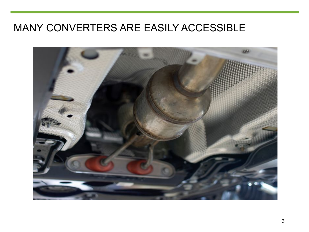### MANY CONVERTERS ARE EASILY ACCESSIBLE

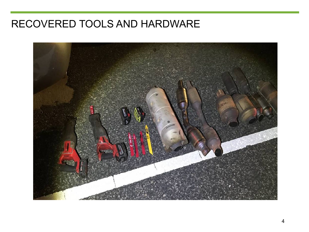### RECOVERED TOOLS AND HARDWARE

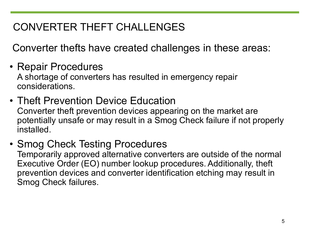### CONVERTER THEFT CHALLENGES

Converter thefts have created challenges in these areas:

- Repair Procedures A shortage of converters has resulted in emergency repair considerations.
- Theft Prevention Device Education Converter theft prevention devices appearing on the market are potentially unsafe or may result in a Smog Check failure if not properly installed.
- Smog Check Testing Procedures Temporarily approved alternative converters are outside of the normal Executive Order (EO) number lookup procedures. Additionally, theft prevention devices and converter identification etching may result in Smog Check failures.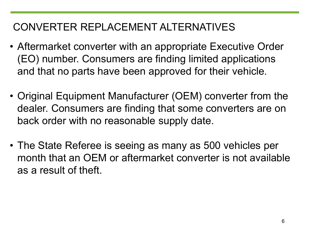### CONVERTER REPLACEMENT ALTERNATIVES

- Aftermarket converter with an appropriate Executive Order (EO) number. Consumers are finding limited applications and that no parts have been approved for their vehicle.
- Original Equipment Manufacturer (OEM) converter from the dealer. Consumers are finding that some converters are on back order with no reasonable supply date.
- The State Referee is seeing as many as 500 vehicles per month that an OEM or aftermarket converter is not available as a result of theft.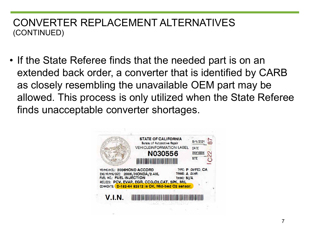#### CONVERTER REPLACEMENT ALTERNATIVES (CONTINUED)

• If the State Referee finds that the needed part is on an extended back order, a converter that is identified by CARB as closely resembling the unavailable OEM part may be allowed. This process is only utilized when the State Referee finds unacceptable converter shortages.

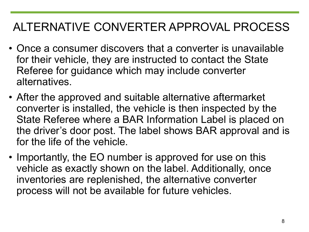# ALTERNATIVE CONVERTER APPROVAL PROCESS

- Once a consumer discovers that a converter is unavailable for their vehicle, they are instructed to contact the State Referee for guidance which may include converter alternatives.
- After the approved and suitable alternative aftermarket converter is installed, the vehicle is then inspected by the State Referee where a BAR Information Label is placed on the driver's door post. The label shows BAR approval and is for the life of the vehicle.
- Importantly, the EO number is approved for use on this vehicle as exactly shown on the label. Additionally, once inventories are replenished, the alternative converter process will not be available for future vehicles.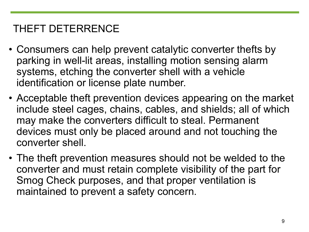### THEFT DETERRENCE

- Consumers can help prevent catalytic converter thefts by parking in well-lit areas, installing motion sensing alarm systems, etching the converter shell with a vehicle identification or license plate number.
- Acceptable theft prevention devices appearing on the market include steel cages, chains, cables, and shields; all of which may make the converters difficult to steal. Permanent devices must only be placed around and not touching the converter shell.
- The theft prevention measures should not be welded to the converter and must retain complete visibility of the part for Smog Check purposes, and that proper ventilation is maintained to prevent a safety concern.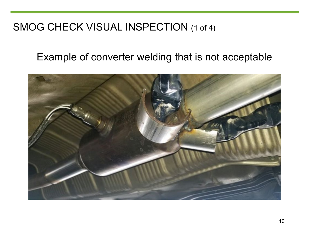### SMOG CHECK VISUAL INSPECTION (1 of 4)

#### Example of converter welding that is not acceptable

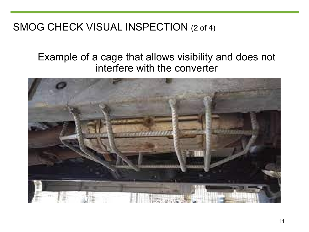SMOG CHECK VISUAL INSPECTION (2 of 4)

#### Example of a cage that allows visibility and does not interfere with the converter

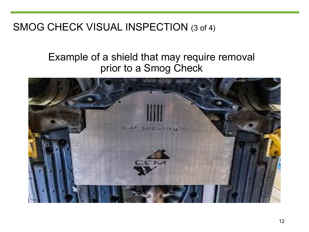SMOG CHECK VISUAL INSPECTION (3 of 4)

#### Example of a shield that may require removal prior to a Smog Check

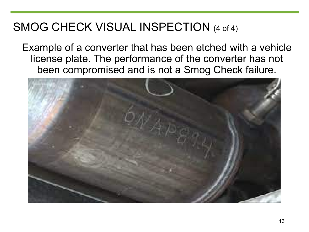# SMOG CHECK VISUAL INSPECTION (4 of 4)

 license plate. The performance of the converter has not been compromised and is not a Smog Check failure. Example of a converter that has been etched with a vehicle